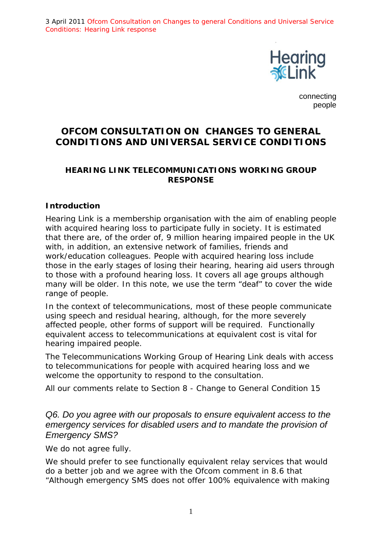3 April 2011 Ofcom Consultation on Changes to general Conditions and Universal Service Conditions: Hearing Link response



connecting people

# **OFCOM CONSULTATION ON CHANGES TO GENERAL CONDITIONS AND UNIVERSAL SERVICE CONDITIONS**

### **HEARING LINK TELECOMMUNICATIONS WORKING GROUP RESPONSE**

### *Introduction*

Hearing Link is a membership organisation with the aim of enabling people with acquired hearing loss to participate fully in society. It is estimated that there are, of the order of, 9 million hearing impaired people in the UK with, in addition, an extensive network of families, friends and work/education colleagues. People with acquired hearing loss include those in the early stages of losing their hearing, hearing aid users through to those with a profound hearing loss. It covers all age groups although many will be older. In this note, we use the term "deaf" to cover the wide range of people.

In the context of telecommunications, most of these people communicate using speech and residual hearing, although, for the more severely affected people, other forms of support will be required. Functionally equivalent access to telecommunications at equivalent cost is vital for hearing impaired people.

The Telecommunications Working Group of Hearing Link deals with access to telecommunications for people with acquired hearing loss and we welcome the opportunity to respond to the consultation.

All our comments relate to Section 8 - Change to General Condition 15

## *Q6. Do you agree with our proposals to ensure equivalent access to the emergency services for disabled users and to mandate the provision of Emergency SMS?*

We do not agree fully.

We should prefer to see functionally equivalent relay services that would do a better job and we agree with the Ofcom comment in 8.6 that "Although emergency SMS does not offer 100% equivalence with making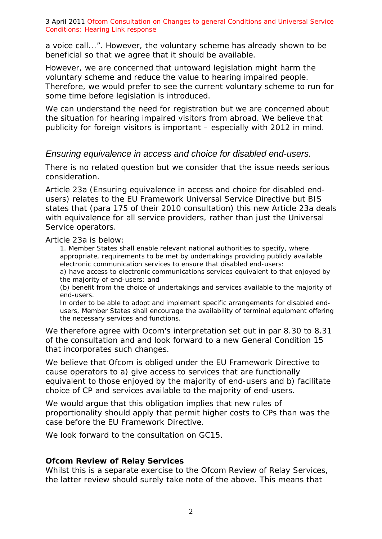3 April 2011 Ofcom Consultation on Changes to general Conditions and Universal Service Conditions: Hearing Link response

a voice call...". However, the voluntary scheme has already shown to be beneficial so that we agree that it should be available.

However, we are concerned that untoward legislation might harm the voluntary scheme and reduce the value to hearing impaired people. Therefore, we would prefer to see the current voluntary scheme to run for some time before legislation is introduced.

We can understand the need for registration but we are concerned about the situation for hearing impaired visitors from abroad. We believe that publicity for foreign visitors is important – especially with 2012 in mind.

### *Ensuring equivalence in access and choice for disabled end-users.*

There is no related question but we consider that the issue needs serious consideration.

Article 23a (Ensuring equivalence in access and choice for disabled endusers) relates to the EU Framework Universal Service Directive but BIS states that (para 175 of their 2010 consultation) this new Article 23a deals with equivalence for all service providers, rather than just the Universal Service operators.

Article 23a is below:

1. Member States shall enable relevant national authorities to specify, where appropriate, requirements to be met by undertakings providing publicly available electronic communication services to ensure that disabled end-users: a) have access to electronic communications services equivalent to that enjoyed by

the majority of end-users; and

(b) benefit from the choice of undertakings and services available to the majority of end-users.

In order to be able to adopt and implement specific arrangements for disabled endusers, Member States shall encourage the availability of terminal equipment offering the necessary services and functions.

We therefore agree with Ocom's interpretation set out in par 8.30 to 8.31 of the consultation and and look forward to a new General Condition 15 that incorporates such changes.

We believe that Ofcom is obliged under the EU Framework Directive to cause operators to a) give access to services that are functionally equivalent to those enjoyed by the majority of end-users and b) facilitate choice of CP and services available to the majority of end-users.

We would argue that this obligation implies that new rules of proportionality should apply that permit higher costs to CPs than was the case before the EU Framework Directive.

We look forward to the consultation on GC15.

### **Ofcom Review of Relay Services**

Whilst this is a separate exercise to the Ofcom Review of Relay Services, the latter review should surely take note of the above. This means that